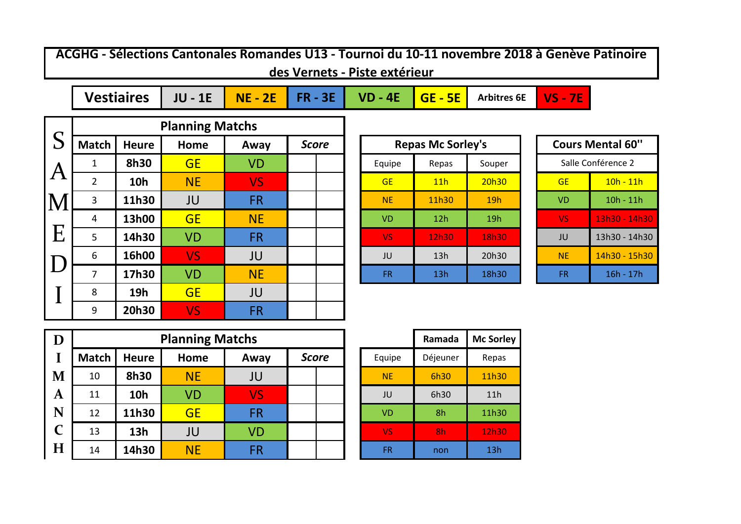**ACGHG - Sélections Cantonales Romandes U13 - Tournoi du 10-11 novembre 2018 à Genève Patinoire des Vernets - Piste extérieur**

**JU - 1E**  $\begin{bmatrix} \mathsf{NE} - 2\mathsf{E} \end{bmatrix}$  FR - 3E  $\begin{bmatrix} \mathsf{VD} - 4\mathsf{E} \end{bmatrix}$  GE - 5E  $\begin{bmatrix} \mathsf{Arbitres} \end{bmatrix}$  NS - 7E **Vestiaires** | JU - 1E | NE - 2E | FR - 3E | VD - 4E | GE - 5E | Arbitres 6E

|                           |                |              | <b>Planning Matchs</b> |           |              |  |           |                          |        |           |                         |
|---------------------------|----------------|--------------|------------------------|-----------|--------------|--|-----------|--------------------------|--------|-----------|-------------------------|
| S                         | <b>Match</b>   | <b>Heure</b> | Home                   | Away      | <b>Score</b> |  |           | <b>Repas Mc Sorley's</b> |        |           | <b>Cours Mental 60"</b> |
| $^{\mathsf{I}}\mathsf{A}$ | 1              | 8h30         | <b>GE</b>              | <b>VD</b> |              |  | Equipe    | Repas                    | Souper |           | Salle Conférence 2      |
|                           | $\overline{2}$ | <b>10h</b>   | <b>NE</b>              | VS.       |              |  | <b>GE</b> | 11h                      | 20h30  | <b>GE</b> | $10h - 11h$             |
| M                         | 3              | 11h30        | JU                     | <b>FR</b> |              |  | <b>NE</b> | 11h30                    | 19h    | <b>VD</b> | $10h - 11h$             |
|                           | 4              | 13h00        | <b>GE</b>              | <b>NE</b> |              |  | <b>VD</b> | 12h                      | 19h    | <b>VS</b> | 13h30 - 14h30           |
| E                         | 5              | 14h30        | <b>VD</b>              | <b>FR</b> |              |  | VS.       | 12h30                    | 18h30  | JU        | 13h30 - 14h30           |
| D                         | 6              | 16h00        | <b>VS</b>              | JU        |              |  | JU        | 13h                      | 20h30  | <b>NE</b> | 14h30 - 15h30           |
|                           | $\overline{7}$ | 17h30        | <b>VD</b>              | <b>NE</b> |              |  | <b>FR</b> | 13h                      | 18h30  | <b>FR</b> | $16h - 17h$             |
|                           | 8              | 19h          | <b>GE</b>              | JU        |              |  |           |                          |        |           |                         |
|                           | 9              | 20h30        | <b>VS</b>              | <b>FR</b> |              |  |           |                          |        |           |                         |

| <b>Repas Mc Sorley's</b> |       |        |  |  |  |  |  |  |  |
|--------------------------|-------|--------|--|--|--|--|--|--|--|
| Equipe                   | Repas | Souper |  |  |  |  |  |  |  |
| <b>GE</b>                | 11h   | 20h30  |  |  |  |  |  |  |  |
| <b>NE</b>                | 11h30 | 19h    |  |  |  |  |  |  |  |
| <b>VD</b>                | 12h   | 19h    |  |  |  |  |  |  |  |
| VS                       | 12h30 | 18h30  |  |  |  |  |  |  |  |
| JU                       | 13h   | 20h30  |  |  |  |  |  |  |  |
| FR                       | 13h   | 18h30  |  |  |  |  |  |  |  |

|    | <b>Cours Mental 60"</b> |
|----|-------------------------|
|    | Salle Conférence 2      |
| GF | <u> 10h - 11h</u>       |
| VD | 10h - 11h               |
| VS | <u> 13h30 - 14h30</u>   |
| JU | 13h30 - 14h30           |
| ΝF | 14h30 - 15h30           |
| FR | 16h - 17h               |

| D            |              |              | <b>Planning Matchs</b> |           |              |           | Ramada         | <b>Mc Sorl</b> |
|--------------|--------------|--------------|------------------------|-----------|--------------|-----------|----------------|----------------|
|              | <b>Match</b> | <b>Heure</b> | Home                   | Away      | <b>Score</b> | Equipe    | Déjeuner       | Repas          |
| M            | 10           | 8h30         | <b>NE</b>              | JU        |              | <b>NE</b> | 6h30           | 11h30          |
| $\mathbf A$  | 11           | <b>10h</b>   | <b>VD</b>              | <b>VS</b> |              | JU        | 6h30           | 11h            |
| N            | 12           | 11h30        | <b>GE</b>              | <b>FR</b> |              | <b>VD</b> | 8h             | 11h30          |
| $\mathsf{C}$ | 13           | 13h          | JU                     | VD        |              | <b>VS</b> | 8 <sub>h</sub> | 12h30          |
| H            | 14           | 14h30        | <b>NE</b>              | <b>FR</b> |              | <b>FR</b> | non            | 13h            |

|           | Ramada   | <b>Mc Sorley</b> |
|-----------|----------|------------------|
| Equipe    | Déjeuner | Repas            |
| NE        | 6h30     | 11h30            |
| JU        | 6h30     | 11h              |
| <b>VD</b> | 8h       | 11h30            |
| VS        | 8h       | 12h30            |
| FR        | non      | 13h              |